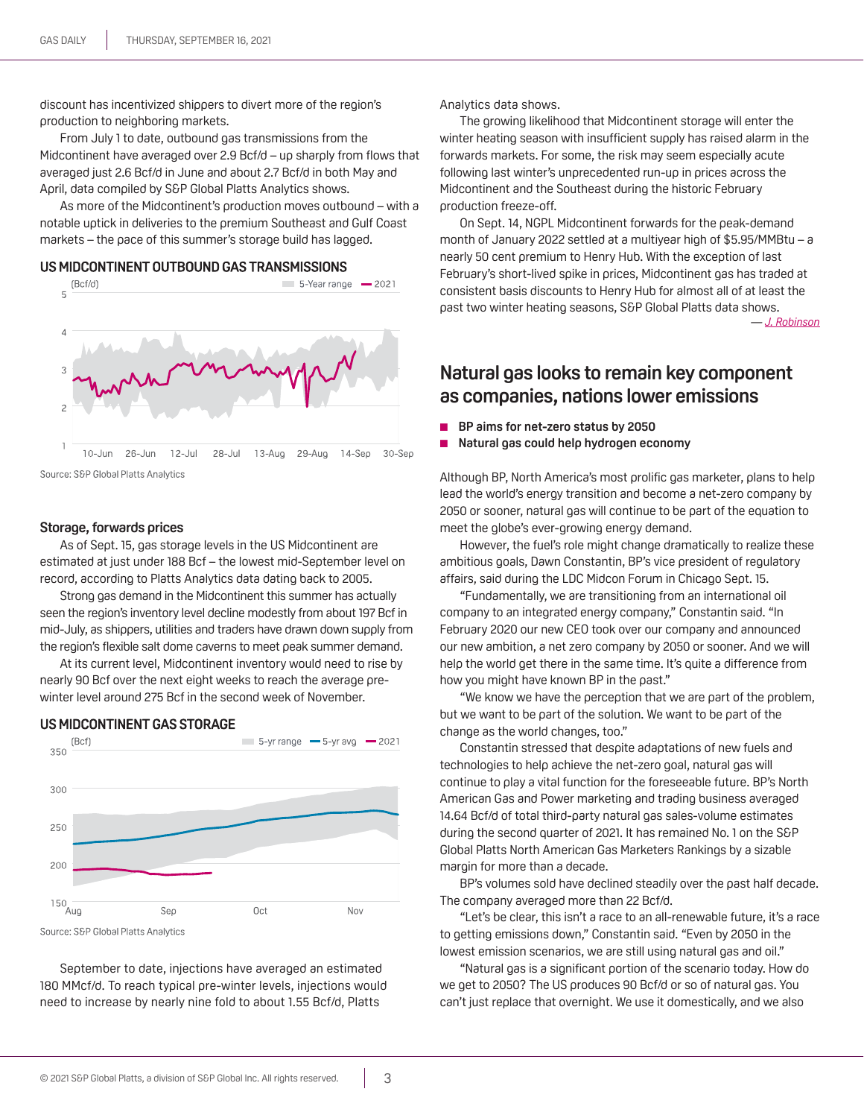discount has incentivized shippers to divert more of the region's production to neighboring markets.

From July 1 to date, outbound gas transmissions from the Midcontinent have averaged over 2.9 Bcf/d – up sharply from flows that averaged just 2.6 Bcf/d in June and about 2.7 Bcf/d in both May and April, data compiled by S&P Global Platts Analytics shows.

As more of the Midcontinent's production moves outbound – with a notable uptick in deliveries to the premium Southeast and Gulf Coast markets – the pace of this summer's storage build has lagged.

US MIDCONTINENT OUTBOUND GAS TRANSMISSIONS



#### Source: S&P Global Platts Analytics

### **storage, forwards prices**

As of Sept. 15, gas storage levels in the US Midcontinent are estimated at just under 188 Bcf – the lowest mid-September level on record, according to Platts Analytics data dating back to 2005.

Strong gas demand in the Midcontinent this summer has actually seen the region's inventory level decline modestly from about 197 Bcf in mid-July, as shippers, utilities and traders have drawn down supply from the region's flexible salt dome caverns to meet peak summer demand.

At its current level, Midcontinent inventory would need to rise by nearly 90 Bcf over the next eight weeks to reach the average prewinter level around 275 Bcf in the second week of November.

### **US MIDCONTINENT GAS STORAGE**



September to date, injections have averaged an estimated 180 MMcf/d. To reach typical pre-winter levels, injections would need to increase by nearly nine fold to about 1.55 Bcf/d, Platts

Analytics data shows.

The growing likelihood that Midcontinent storage will enter the winter heating season with insufficient supply has raised alarm in the forwards markets. For some, the risk may seem especially acute following last winter's unprecedented run-up in prices across the Midcontinent and the Southeast during the historic February production freeze-off.

On Sept. 14, NGPL Midcontinent forwards for the peak-demand month of January 2022 settled at a multiyear high of \$5.95/MMBtu – a nearly 50 cent premium to Henry Hub. With the exception of last February's short-lived spike in prices, Midcontinent gas has traded at consistent basis discounts to Henry Hub for almost all of at least the past two winter heating seasons, S&P Global Platts data shows. *[— J. Robinso](mailto:jrobinson@spglobal.com)n*

## **Natural gas looks to remain key component as companies, nations lower emissions**

- **BP** aims for net-zero status by 2050
- **Natural gas could help hydrogen economy**

Although BP, North America's most prolific gas marketer, plans to help lead the world's energy transition and become a net-zero company by 2050 or sooner, natural gas will continue to be part of the equation to meet the globe's ever-growing energy demand.

However, the fuel's role might change dramatically to realize these ambitious goals, Dawn Constantin, BP's vice president of regulatory affairs, said during the LDC Midcon Forum in Chicago Sept. 15.

"Fundamentally, we are transitioning from an international oil company to an integrated energy company," Constantin said. "In February 2020 our new CEO took over our company and announced our new ambition, a net zero company by 2050 or sooner. And we will help the world get there in the same time. It's quite a difference from how you might have known BP in the past."

"We know we have the perception that we are part of the problem, but we want to be part of the solution. We want to be part of the change as the world changes, too."

Constantin stressed that despite adaptations of new fuels and technologies to help achieve the net-zero goal, natural gas will continue to play a vital function for the foreseeable future. BP's North American Gas and Power marketing and trading business averaged 14.64 Bcf/d of total third-party natural gas sales-volume estimates during the second quarter of 2021. It has remained No. 1 on the S&P Global Platts North American Gas Marketers Rankings by a sizable margin for more than a decade.

BP's volumes sold have declined steadily over the past half decade. The company averaged more than 22 Bcf/d.

"Let's be clear, this isn't a race to an all-renewable future, it's a race to getting emissions down," Constantin said. "Even by 2050 in the lowest emission scenarios, we are still using natural gas and oil."

"Natural gas is a significant portion of the scenario today. How do we get to 2050? The US produces 90 Bcf/d or so of natural gas. You can't just replace that overnight. We use it domestically, and we also